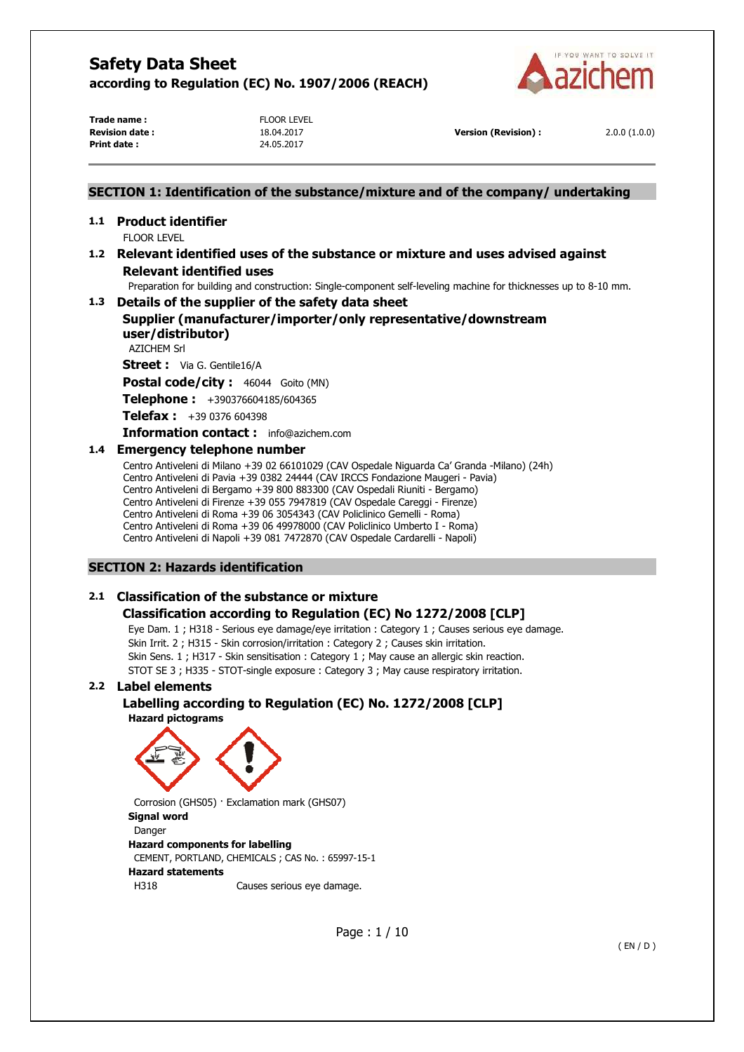

**Trade name :** FLOOR LEVEL **Print date :** 24.05.2017

**Revision date :** 18.04.2017 **Version (Revision) :** 2.0.0 (1.0.0)

## **SECTION 1: Identification of the substance/mixture and of the company/ undertaking**

#### **1.1 Product identifier**  FLOOR LEVEL

## **1.2 Relevant identified uses of the substance or mixture and uses advised against Relevant identified uses**

Preparation for building and construction: Single-component self-leveling machine for thicknesses up to 8-10 mm.

# **1.3 Details of the supplier of the safety data sheet**

## **Supplier (manufacturer/importer/only representative/downstream user/distributor)**

AZICHEM Srl

**Street :** Via G. Gentile16/A

**Postal code/city :** 46044 Goito (MN)

**Telephone :** +390376604185/604365

**Telefax :** +39 0376 604398

**Information contact :** info@azichem.com

## **1.4 Emergency telephone number**

Centro Antiveleni di Milano +39 02 66101029 (CAV Ospedale Niguarda Ca' Granda -Milano) (24h) Centro Antiveleni di Pavia +39 0382 24444 (CAV IRCCS Fondazione Maugeri - Pavia) Centro Antiveleni di Bergamo +39 800 883300 (CAV Ospedali Riuniti - Bergamo) Centro Antiveleni di Firenze +39 055 7947819 (CAV Ospedale Careggi - Firenze) Centro Antiveleni di Roma +39 06 3054343 (CAV Policlinico Gemelli - Roma) Centro Antiveleni di Roma +39 06 49978000 (CAV Policlinico Umberto I - Roma) Centro Antiveleni di Napoli +39 081 7472870 (CAV Ospedale Cardarelli - Napoli)

## **SECTION 2: Hazards identification**

## **2.1 Classification of the substance or mixture**

## **Classification according to Regulation (EC) No 1272/2008 [CLP]**

Eye Dam. 1 ; H318 - Serious eye damage/eye irritation : Category 1 ; Causes serious eye damage. Skin Irrit. 2 ; H315 - Skin corrosion/irritation : Category 2 ; Causes skin irritation. Skin Sens. 1 ; H317 - Skin sensitisation : Category 1 ; May cause an allergic skin reaction. STOT SE 3 ; H335 - STOT-single exposure : Category 3 ; May cause respiratory irritation.

## **2.2 Label elements**

## **Labelling according to Regulation (EC) No. 1272/2008 [CLP] Hazard pictograms**



Corrosion (GHS05) · Exclamation mark (GHS07) **Signal word**  Danger **Hazard components for labelling**  CEMENT, PORTLAND, CHEMICALS ; CAS No. : 65997-15-1 **Hazard statements**  H318 Causes serious eye damage.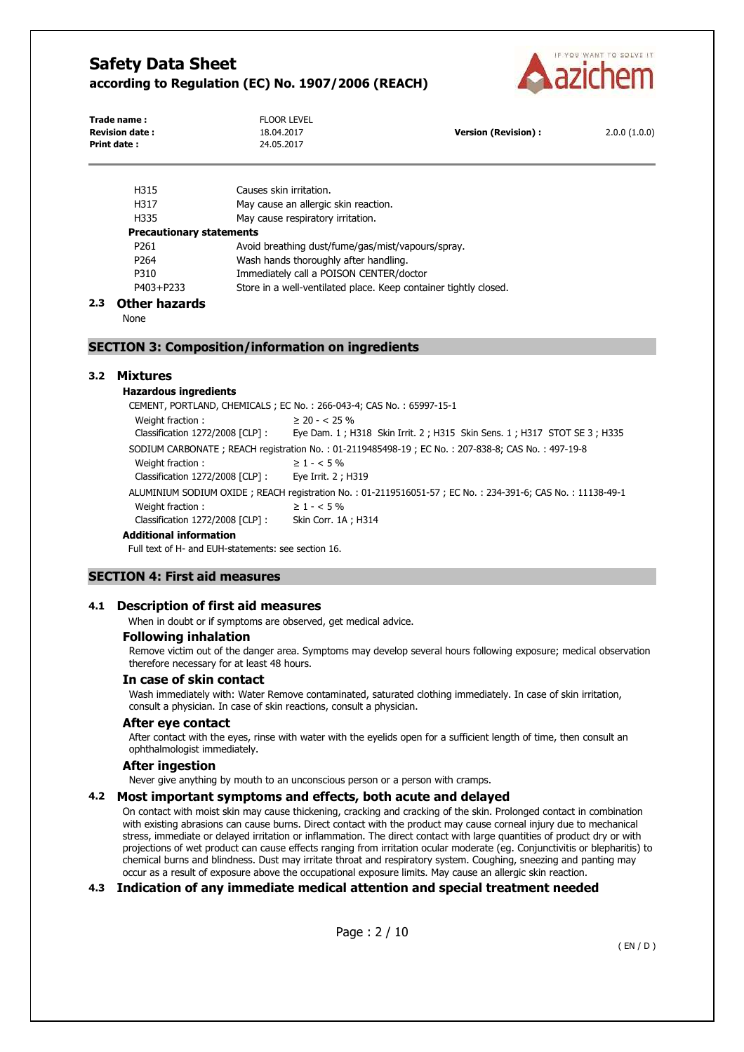

| <b>LID1E</b>          | Couses skip indiction |                            |              |
|-----------------------|-----------------------|----------------------------|--------------|
| Print date:           | 24.05.2017            |                            |              |
| <b>Revision date:</b> | 18.04.2017            | <b>Version (Revision):</b> | 2.0.0(1.0.0) |
| Trade name:           | FLOOR LEVEL           |                            |              |

| ,,,,,                           | CQUSES SNIT ITTICUUTI.                                           |  |
|---------------------------------|------------------------------------------------------------------|--|
| H317                            | May cause an allergic skin reaction.                             |  |
| H335                            | May cause respiratory irritation.                                |  |
| <b>Precautionary statements</b> |                                                                  |  |
| P <sub>261</sub>                | Avoid breathing dust/fume/gas/mist/vapours/spray.                |  |
| P <sub>264</sub>                | Wash hands thoroughly after handling.                            |  |
| P310                            | Immediately call a POISON CENTER/doctor                          |  |
| P403+P233                       | Store in a well-ventilated place. Keep container tightly closed. |  |

### **2.3 Other hazards**

None

### **SECTION 3: Composition/information on ingredients**

## **3.2 Mixtures**

**Hazardous ingredients**

| CEMENT, PORTLAND, CHEMICALS; EC No.: 266-043-4; CAS No.: 65997-15-1                                      |                                                                         |  |  |
|----------------------------------------------------------------------------------------------------------|-------------------------------------------------------------------------|--|--|
| Weight fraction:                                                                                         | $\geq$ 20 - < 25 %                                                      |  |  |
| Classification 1272/2008 [CLP] :                                                                         | Eye Dam. 1; H318 Skin Irrit. 2; H315 Skin Sens. 1; H317 STOT SE 3; H335 |  |  |
| SODIUM CARBONATE; REACH registration No.: 01-2119485498-19; EC No.: 207-838-8; CAS No.: 497-19-8         |                                                                         |  |  |
| Weight fraction:                                                                                         | $\geq 1 - 5\%$                                                          |  |  |
| Classification 1272/2008 [CLP] :                                                                         | Eye Irrit. 2 ; H319                                                     |  |  |
| ALUMINIUM SODIUM OXIDE; REACH registration No.: 01-2119516051-57; EC No.: 234-391-6; CAS No.: 11138-49-1 |                                                                         |  |  |
| Weight fraction:                                                                                         | $\geq 1 - 5\%$                                                          |  |  |
| Classification 1272/2008 [CLP] :                                                                         | Skin Corr. 1A; H314                                                     |  |  |
| Additional information                                                                                   |                                                                         |  |  |

Full text of H- and EUH-statements: see section 16.

#### **SECTION 4: First aid measures**

#### **4.1 Description of first aid measures**

When in doubt or if symptoms are observed, get medical advice.

### **Following inhalation**

Remove victim out of the danger area. Symptoms may develop several hours following exposure; medical observation therefore necessary for at least 48 hours.

#### **In case of skin contact**

Wash immediately with: Water Remove contaminated, saturated clothing immediately. In case of skin irritation, consult a physician. In case of skin reactions, consult a physician.

#### **After eye contact**

After contact with the eyes, rinse with water with the eyelids open for a sufficient length of time, then consult an ophthalmologist immediately.

#### **After ingestion**

Never give anything by mouth to an unconscious person or a person with cramps.

#### **4.2 Most important symptoms and effects, both acute and delayed**

On contact with moist skin may cause thickening, cracking and cracking of the skin. Prolonged contact in combination with existing abrasions can cause burns. Direct contact with the product may cause corneal injury due to mechanical stress, immediate or delayed irritation or inflammation. The direct contact with large quantities of product dry or with projections of wet product can cause effects ranging from irritation ocular moderate (eg. Conjunctivitis or blepharitis) to chemical burns and blindness. Dust may irritate throat and respiratory system. Coughing, sneezing and panting may occur as a result of exposure above the occupational exposure limits. May cause an allergic skin reaction.

### **4.3 Indication of any immediate medical attention and special treatment needed**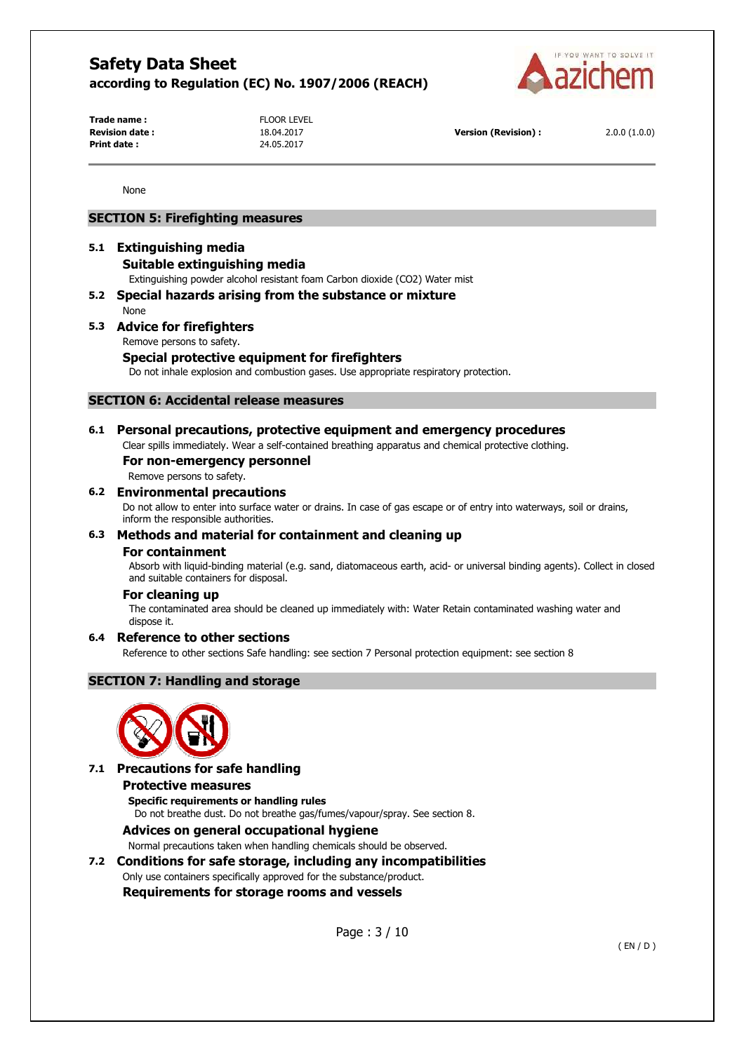

**Trade name :** FLOOR LEVEL **Print date :** 24.05.2017

**Revision date :** 18.04.2017 **Version (Revision) :** 2.0.0 (1.0.0)

None

### **SECTION 5: Firefighting measures**

## **5.1 Extinguishing media**

## **Suitable extinguishing media**

Extinguishing powder alcohol resistant foam Carbon dioxide (CO2) Water mist

### **5.2 Special hazards arising from the substance or mixture**

None

## **5.3 Advice for firefighters**

Remove persons to safety.

## **Special protective equipment for firefighters**

Do not inhale explosion and combustion gases. Use appropriate respiratory protection.

### **SECTION 6: Accidental release measures**

### **6.1 Personal precautions, protective equipment and emergency procedures**

Clear spills immediately. Wear a self-contained breathing apparatus and chemical protective clothing.

## **For non-emergency personnel**

Remove persons to safety.

#### **6.2 Environmental precautions**

Do not allow to enter into surface water or drains. In case of gas escape or of entry into waterways, soil or drains, inform the responsible authorities.

### **6.3 Methods and material for containment and cleaning up**

#### **For containment**

Absorb with liquid-binding material (e.g. sand, diatomaceous earth, acid- or universal binding agents). Collect in closed and suitable containers for disposal.

#### **For cleaning up**

The contaminated area should be cleaned up immediately with: Water Retain contaminated washing water and dispose it.

#### **6.4 Reference to other sections**

Reference to other sections Safe handling: see section 7 Personal protection equipment: see section 8

## **SECTION 7: Handling and storage**



## **7.1 Precautions for safe handling**

#### **Protective measures**

**Specific requirements or handling rules**  Do not breathe dust. Do not breathe gas/fumes/vapour/spray. See section 8.

### **Advices on general occupational hygiene**

Normal precautions taken when handling chemicals should be observed.

## **7.2 Conditions for safe storage, including any incompatibilities**

Only use containers specifically approved for the substance/product.

**Requirements for storage rooms and vessels** 

Page : 3 / 10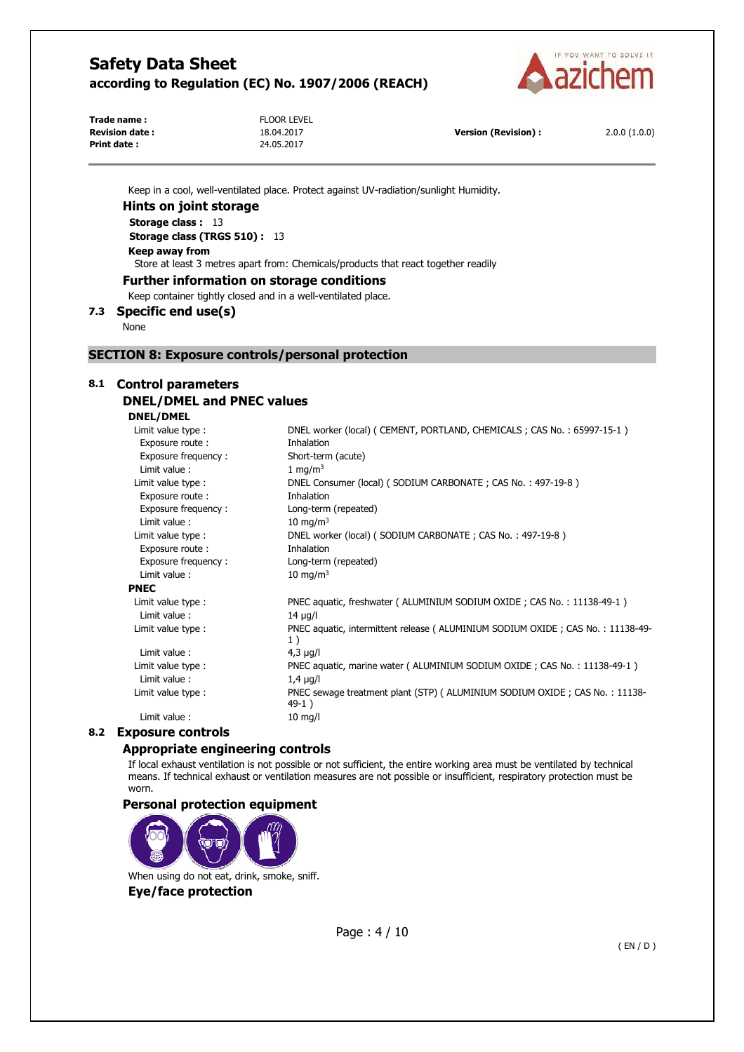

**Trade name :** FLOOR LEVEL **Print date :** 24.05.2017

Keep in a cool, well-ventilated place. Protect against UV-radiation/sunlight Humidity.

#### **Hints on joint storage**

**Storage class :** 13

**Storage class (TRGS 510) :** 13 **Keep away from** 

Store at least 3 metres apart from: Chemicals/products that react together readily

**Further information on storage conditions** 

Keep container tightly closed and in a well-ventilated place.

## **7.3 Specific end use(s)**

None

**PNEC** 

#### **SECTION 8: Exposure controls/personal protection**

## **8.1 Control parameters**

## **DNEL/DMEL and PNEC values**

**DNEL/DMEL** 

| Limit value type :  | DNEL worker (local) ( CEMENT, PORTLAND, CHEMICALS ; CAS No. : 65997-15-1)              |
|---------------------|----------------------------------------------------------------------------------------|
| Exposure route:     | Inhalation                                                                             |
| Exposure frequency: | Short-term (acute)                                                                     |
| Limit value:        | 1 mg/m <sup>3</sup>                                                                    |
| Limit value type :  | DNEL Consumer (local) (SODIUM CARBONATE; CAS No.: 497-19-8)                            |
| Exposure route:     | Inhalation                                                                             |
| Exposure frequency: | Long-term (repeated)                                                                   |
| Limit value:        | 10 mg/m $3$                                                                            |
| Limit value type :  | DNEL worker (local) (SODIUM CARBONATE; CAS No.: 497-19-8)                              |
| Exposure route:     | Inhalation                                                                             |
| Exposure frequency: | Long-term (repeated)                                                                   |
| Limit value:        | 10 mg/m $3$                                                                            |
| 'NEC                |                                                                                        |
| Limit value type :  | PNEC aquatic, freshwater ( ALUMINIUM SODIUM OXIDE ; CAS No. : 11138-49-1 )             |
| Limit value:        | $14 \mu q/l$                                                                           |
| Limit value type :  | PNEC aquatic, intermittent release ( ALUMINIUM SODIUM OXIDE ; CAS No.: 11138-49-<br>1) |
| Limit value:        | $4,3 \mu g/l$                                                                          |
| Limit value type :  | PNEC aquatic, marine water ( ALUMINIUM SODIUM OXIDE; CAS No.: 11138-49-1)              |
| Limit value:        | $1.4 \mu g/l$                                                                          |
| Limit value type :  | PNEC sewage treatment plant (STP) ( ALUMINIUM SODIUM OXIDE; CAS No.: 11138-<br>$49-1)$ |
| Limit value:        | $10 \text{ mg/l}$                                                                      |
|                     |                                                                                        |

## **8.2 Exposure controls**

### **Appropriate engineering controls**

If local exhaust ventilation is not possible or not sufficient, the entire working area must be ventilated by technical means. If technical exhaust or ventilation measures are not possible or insufficient, respiratory protection must be worn.

### **Personal protection equipment**

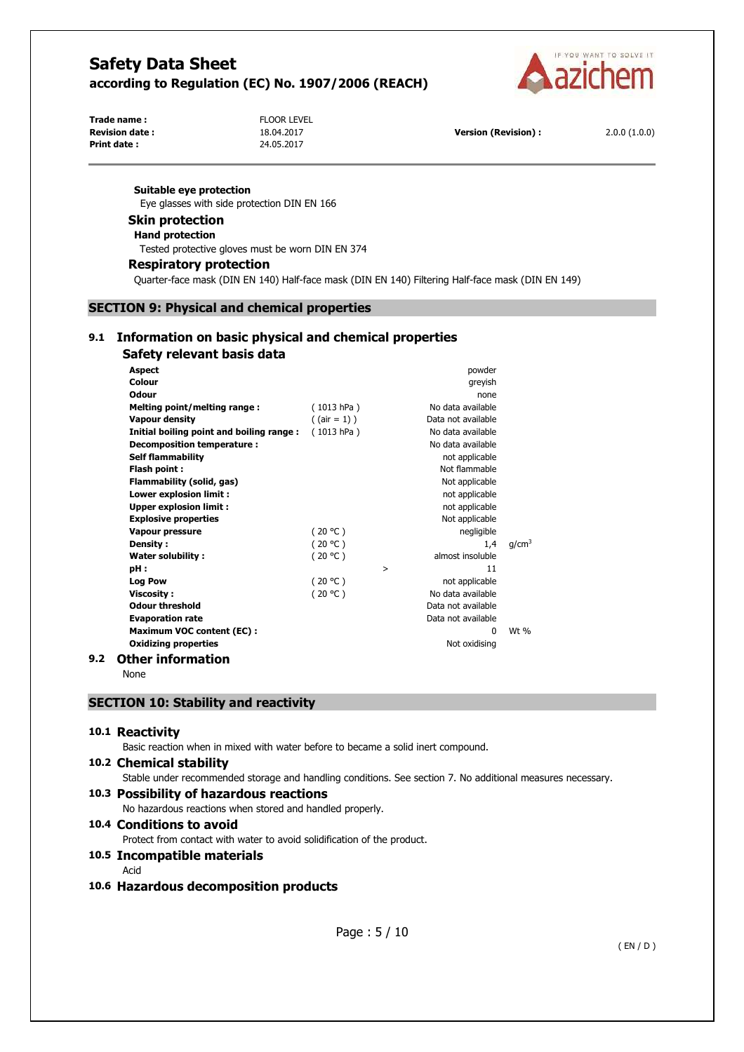

**Print date :** 24.05.2017

**Trade name :** FLOOR LEVEL

**Revision date :** 18.04.2017 **Version (Revision) :** 2.0.0 (1.0.0)

#### **Suitable eye protection**

Eye glasses with side protection DIN EN 166

#### **Skin protection**

**Hand protection** 

Tested protective gloves must be worn DIN EN 374

#### **Respiratory protection**

Quarter-face mask (DIN EN 140) Half-face mask (DIN EN 140) Filtering Half-face mask (DIN EN 149)

## **SECTION 9: Physical and chemical properties**

## **9.1 Information on basic physical and chemical properties Safety relevant basis data**

| <b>Aspect</b>                            |                 |   | powder             |                   |
|------------------------------------------|-----------------|---|--------------------|-------------------|
| Colour                                   |                 |   | greyish            |                   |
| Odour                                    |                 |   | none               |                   |
| Melting point/melting range:             | (1013 hPa)      |   | No data available  |                   |
| <b>Vapour density</b>                    | $($ (air = 1) ) |   | Data not available |                   |
| Initial boiling point and boiling range: | (1013 hPa)      |   | No data available  |                   |
| Decomposition temperature:               |                 |   | No data available  |                   |
| <b>Self flammability</b>                 |                 |   | not applicable     |                   |
| Flash point:                             |                 |   | Not flammable      |                   |
| Flammability (solid, gas)                |                 |   | Not applicable     |                   |
| Lower explosion limit:                   |                 |   | not applicable     |                   |
| <b>Upper explosion limit:</b>            |                 |   | not applicable     |                   |
| <b>Explosive properties</b>              |                 |   | Not applicable     |                   |
| <b>Vapour pressure</b>                   | (20 °C)         |   | negligible         |                   |
| Density:                                 | (20 °C)         |   | 1,4                | g/cm <sup>3</sup> |
| <b>Water solubility:</b>                 | (20 °C)         |   | almost insoluble   |                   |
| pH:                                      |                 | > | 11                 |                   |
| <b>Log Pow</b>                           | (20 °C)         |   | not applicable     |                   |
| <b>Viscosity:</b>                        | (20 °C)         |   | No data available  |                   |
| <b>Odour threshold</b>                   |                 |   | Data not available |                   |
| <b>Evaporation rate</b>                  |                 |   | Data not available |                   |
| <b>Maximum VOC content (EC):</b>         |                 |   | 0                  | Wt $%$            |
| <b>Oxidizing properties</b>              |                 |   | Not oxidising      |                   |
| $A + 1 = 1$                              |                 |   |                    |                   |

## **9.2 Other information**

None

## **SECTION 10: Stability and reactivity**

#### **10.1 Reactivity**

Basic reaction when in mixed with water before to became a solid inert compound.

#### **10.2 Chemical stability**

Stable under recommended storage and handling conditions. See section 7. No additional measures necessary.

### **10.3 Possibility of hazardous reactions**

No hazardous reactions when stored and handled properly.

## **10.4 Conditions to avoid**

Protect from contact with water to avoid solidification of the product.

#### **10.5 Incompatible materials**

Acid

### **10.6 Hazardous decomposition products**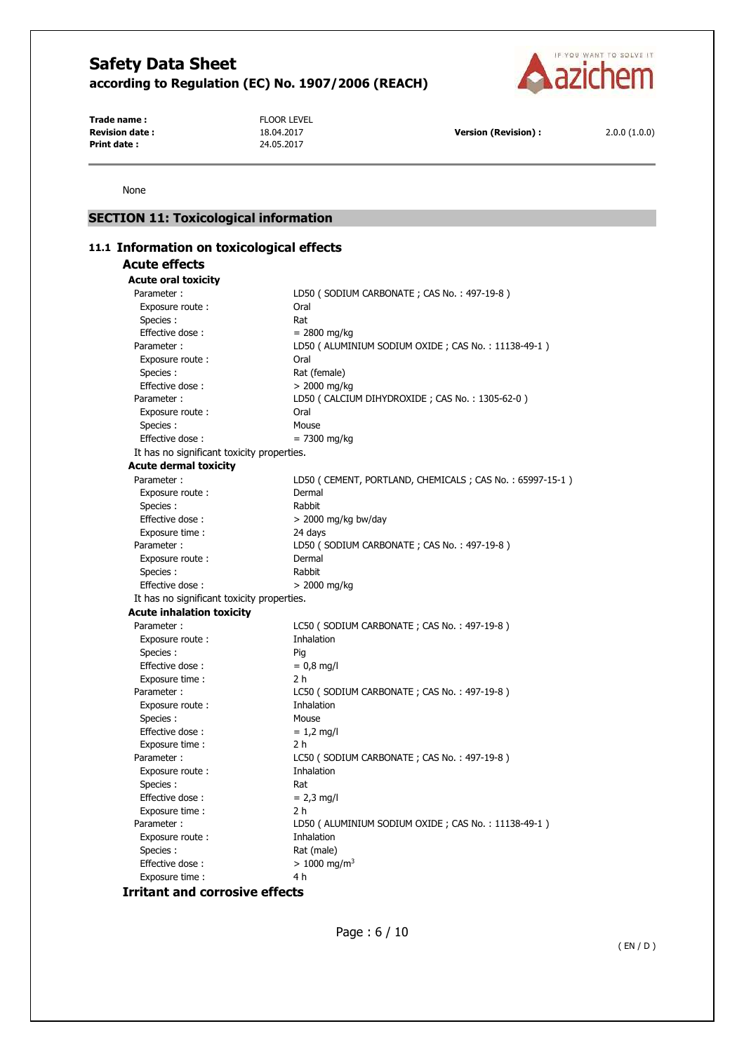

**Trade name :** FLOOR LEVEL **Revision date : 18.04.2017 Version (Revision) : 2.0.0 (1.0.0) Print date : 2.0.0 (1.0.0) Print date : 2.0.0 (1.0.0) Print date : 2.0.0 (1.0.0) Print date : 2.0.0 (1.0.0) Print date : 2.0.0 (1.0.0) Print date :** 

None

## **SECTION 11: Toxicological information**

| 11.1 Information on toxicological effects  |                                                         |
|--------------------------------------------|---------------------------------------------------------|
| <b>Acute effects</b>                       |                                                         |
| <b>Acute oral toxicity</b>                 |                                                         |
| Parameter:                                 | LD50 (SODIUM CARBONATE; CAS No.: 497-19-8)              |
| Exposure route:                            | Oral                                                    |
| Species:                                   | Rat                                                     |
| Effective dose:                            | $= 2800$ mg/kg                                          |
| Parameter:                                 | LD50 ( ALUMINIUM SODIUM OXIDE ; CAS No. : 11138-49-1 )  |
| Exposure route:                            | Oral                                                    |
| Species :                                  | Rat (female)                                            |
| Effective dose:                            | $> 2000$ mg/kg                                          |
| Parameter:                                 | LD50 (CALCIUM DIHYDROXIDE; CAS No.: 1305-62-0)          |
| Exposure route:                            | Oral                                                    |
| Species:                                   | Mouse                                                   |
| Effective dose:                            | $= 7300$ mg/kg                                          |
| It has no significant toxicity properties. |                                                         |
| <b>Acute dermal toxicity</b>               |                                                         |
| Parameter :                                | LD50 (CEMENT, PORTLAND, CHEMICALS; CAS No.: 65997-15-1) |
| Exposure route:                            | Dermal                                                  |
| Species :                                  | Rabbit                                                  |
| Effective dose:                            | $>$ 2000 mg/kg bw/day                                   |
| Exposure time :                            | 24 days                                                 |
| Parameter :                                | LD50 (SODIUM CARBONATE; CAS No.: 497-19-8)              |
| Exposure route:                            | Dermal                                                  |
| Species:                                   | Rabbit                                                  |
| Effective dose:                            | $> 2000$ mg/kg                                          |
| It has no significant toxicity properties. |                                                         |
| <b>Acute inhalation toxicity</b>           |                                                         |
| Parameter:                                 | LC50 (SODIUM CARBONATE; CAS No.: 497-19-8)              |
| Exposure route :                           | Inhalation                                              |
| Species :                                  | Pig                                                     |
| Effective dose:                            | $= 0.8$ mg/l                                            |
| Exposure time:                             | 2 h                                                     |
| Parameter:                                 | LC50 (SODIUM CARBONATE; CAS No.: 497-19-8)              |
| Exposure route:                            | Inhalation                                              |
| Species:                                   | Mouse                                                   |
| Effective dose:                            | $= 1.2$ mg/l                                            |
| Exposure time :                            | 2 h                                                     |
| Parameter:                                 | LC50 (SODIUM CARBONATE; CAS No.: 497-19-8)              |
| Exposure route:                            | Inhalation                                              |
| Species :                                  | Rat                                                     |
| Effective dose:                            | $= 2.3$ mg/l                                            |
| Exposure time :                            | 2 h                                                     |
| Parameter:                                 | LD50 (ALUMINIUM SODIUM OXIDE; CAS No.: 11138-49-1)      |
| Exposure route:                            | Inhalation                                              |
| Species :                                  | Rat (male)                                              |
| Effective dose:                            | $> 1000$ mg/m <sup>3</sup>                              |
| Exposure time :                            | 4 h                                                     |
|                                            |                                                         |

**Irritant and corrosive effects**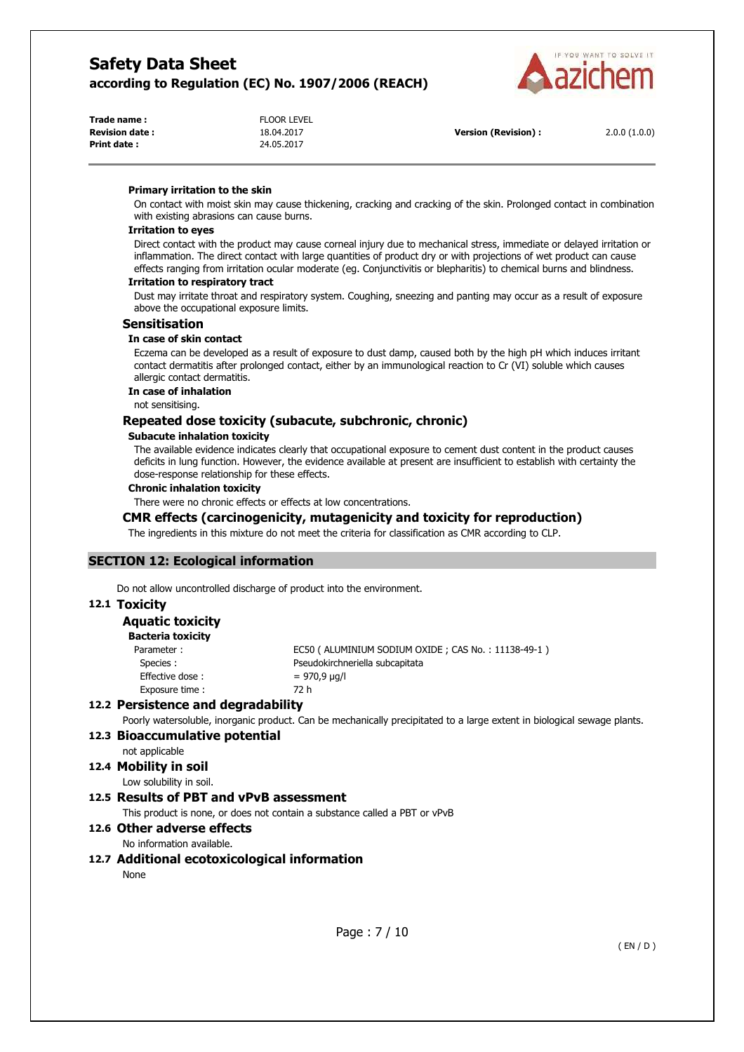

| <b>FLOOR LEVEL</b> |
|--------------------|
| 18.04.2017         |
| 24.05.2017         |
|                    |

**Version (Revision) :** 2.0.0 (1.0.0)

#### **Primary irritation to the skin**

On contact with moist skin may cause thickening, cracking and cracking of the skin. Prolonged contact in combination with existing abrasions can cause burns.

#### **Irritation to eyes**

Direct contact with the product may cause corneal injury due to mechanical stress, immediate or delayed irritation or inflammation. The direct contact with large quantities of product dry or with projections of wet product can cause effects ranging from irritation ocular moderate (eg. Conjunctivitis or blepharitis) to chemical burns and blindness.

#### **Irritation to respiratory tract**

Dust may irritate throat and respiratory system. Coughing, sneezing and panting may occur as a result of exposure above the occupational exposure limits.

#### **Sensitisation**

#### **In case of skin contact**

Eczema can be developed as a result of exposure to dust damp, caused both by the high pH which induces irritant contact dermatitis after prolonged contact, either by an immunological reaction to Cr (VI) soluble which causes allergic contact dermatitis.

#### **In case of inhalation**

not sensitising.

## **Repeated dose toxicity (subacute, subchronic, chronic)**

#### **Subacute inhalation toxicity**

The available evidence indicates clearly that occupational exposure to cement dust content in the product causes deficits in lung function. However, the evidence available at present are insufficient to establish with certainty the dose-response relationship for these effects.

#### **Chronic inhalation toxicity**

There were no chronic effects or effects at low concentrations.

#### **CMR effects (carcinogenicity, mutagenicity and toxicity for reproduction)**

The ingredients in this mixture do not meet the criteria for classification as CMR according to CLP.

#### **SECTION 12: Ecological information**

Do not allow uncontrolled discharge of product into the environment.

#### **12.1 Toxicity**

## **Aquatic toxicity**

| Bacteria toxicity |                                                    |
|-------------------|----------------------------------------------------|
| Parameter:        | EC50 (ALUMINIUM SODIUM OXIDE; CAS No.: 11138-49-1) |
| Species:          | Pseudokirchneriella subcapitata                    |
| Effective dose:   | = 970,9 µg/l                                       |
| Exposure time:    | 72 h                                               |

### **12.2 Persistence and degradability**

Poorly watersoluble, inorganic product. Can be mechanically precipitated to a large extent in biological sewage plants.

#### **12.3 Bioaccumulative potential**

not applicable

**12.4 Mobility in soil** 

Low solubility in soil.

### **12.5 Results of PBT and vPvB assessment**

This product is none, or does not contain a substance called a PBT or vPvB

#### **12.6 Other adverse effects**

No information available.

#### **12.7 Additional ecotoxicological information**

None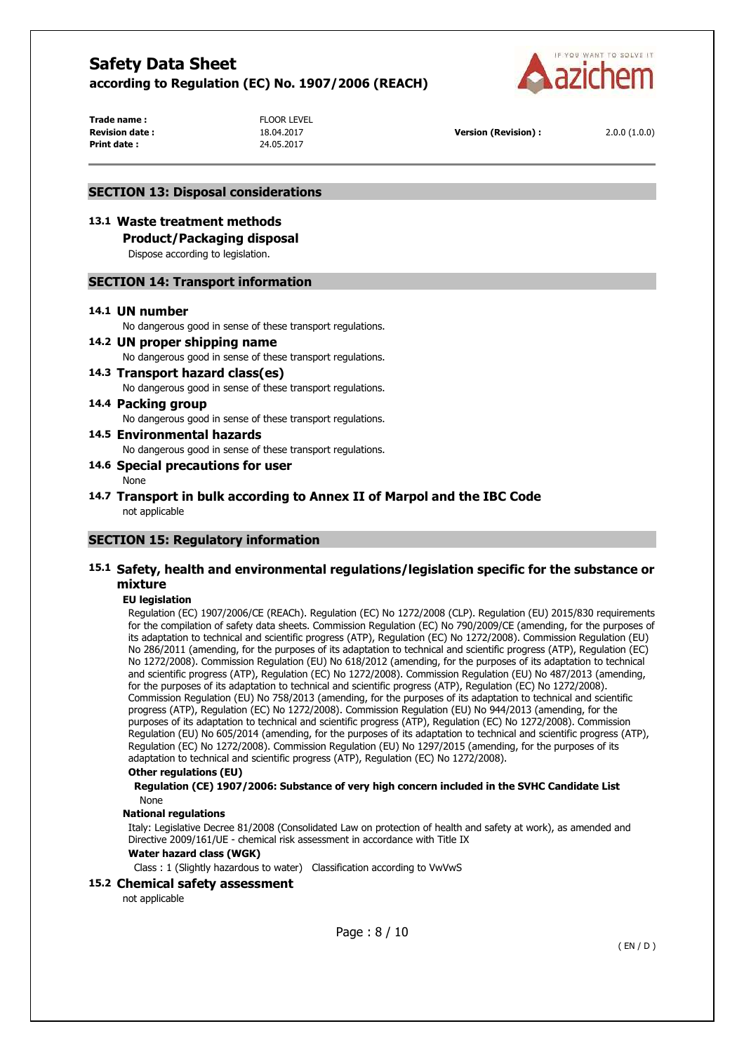

**Trade name :** FLOOR LEVEL **Print date :** 24.05.2017

**Revision date :** 18.04.2017 **Version (Revision) :** 2.0.0 (1.0.0)

#### **SECTION 13: Disposal considerations**

### **13.1 Waste treatment methods**

**Product/Packaging disposal** 

Dispose according to legislation.

#### **SECTION 14: Transport information**

#### **14.1 UN number**

No dangerous good in sense of these transport regulations.

#### **14.2 UN proper shipping name**

No dangerous good in sense of these transport regulations.

**14.3 Transport hazard class(es)**  No dangerous good in sense of these transport regulations.

#### **14.4 Packing group**  No dangerous good in sense of these transport regulations.

**14.5 Environmental hazards** 

No dangerous good in sense of these transport regulations.

#### **14.6 Special precautions for user**

None

**14.7 Transport in bulk according to Annex II of Marpol and the IBC Code**  not applicable

### **SECTION 15: Regulatory information**

### **15.1 Safety, health and environmental regulations/legislation specific for the substance or mixture**

#### **EU legislation**

Regulation (EC) 1907/2006/CE (REACh). Regulation (EC) No 1272/2008 (CLP). Regulation (EU) 2015/830 requirements for the compilation of safety data sheets. Commission Regulation (EC) No 790/2009/CE (amending, for the purposes of its adaptation to technical and scientific progress (ATP), Regulation (EC) No 1272/2008). Commission Regulation (EU) No 286/2011 (amending, for the purposes of its adaptation to technical and scientific progress (ATP), Regulation (EC) No 1272/2008). Commission Regulation (EU) No 618/2012 (amending, for the purposes of its adaptation to technical and scientific progress (ATP), Regulation (EC) No 1272/2008). Commission Regulation (EU) No 487/2013 (amending, for the purposes of its adaptation to technical and scientific progress (ATP), Regulation (EC) No 1272/2008). Commission Regulation (EU) No 758/2013 (amending, for the purposes of its adaptation to technical and scientific progress (ATP), Regulation (EC) No 1272/2008). Commission Regulation (EU) No 944/2013 (amending, for the purposes of its adaptation to technical and scientific progress (ATP), Regulation (EC) No 1272/2008). Commission Regulation (EU) No 605/2014 (amending, for the purposes of its adaptation to technical and scientific progress (ATP), Regulation (EC) No 1272/2008). Commission Regulation (EU) No 1297/2015 (amending, for the purposes of its adaptation to technical and scientific progress (ATP), Regulation (EC) No 1272/2008).

### **Other regulations (EU)**

**Regulation (CE) 1907/2006: Substance of very high concern included in the SVHC Candidate List**  None

#### **National regulations**

Italy: Legislative Decree 81/2008 (Consolidated Law on protection of health and safety at work), as amended and Directive 2009/161/UE - chemical risk assessment in accordance with Title IX

#### **Water hazard class (WGK)**

Class : 1 (Slightly hazardous to water) Classification according to VwVwS

#### **15.2 Chemical safety assessment**

not applicable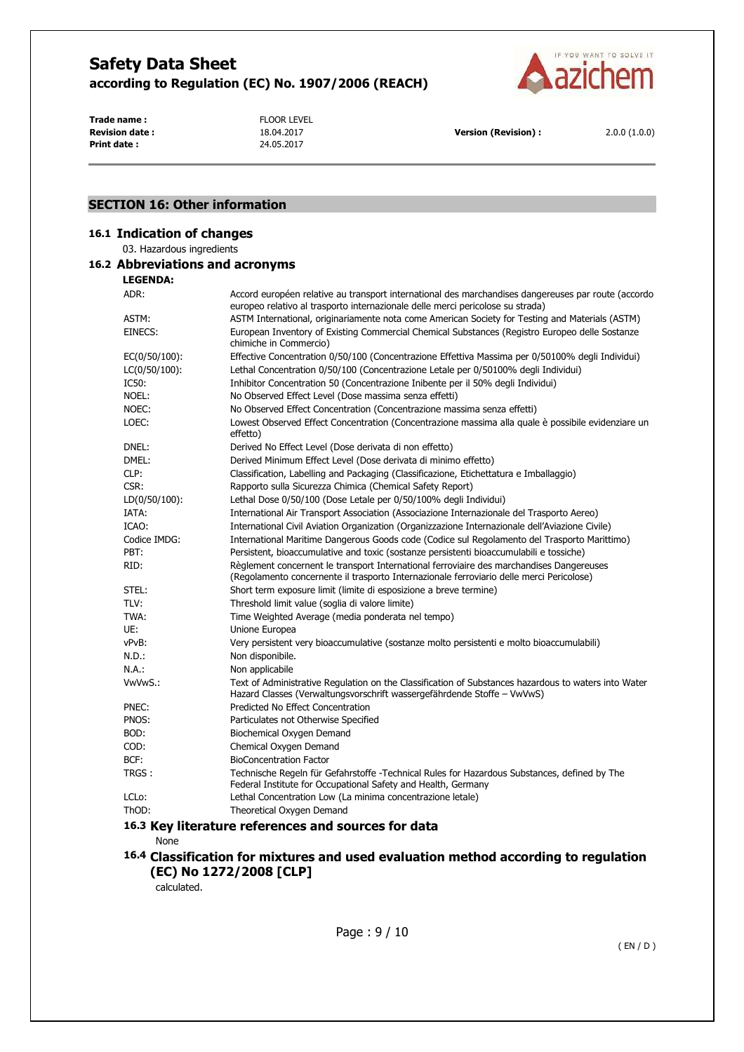

**Trade name :** FLOOR LEVEL **Revision date :** 18.04.2017 **Version (Revision) :** 2.0.0 (1.0.0)<br>**Print date :** 24.05.2017 **Print date :** 24.05.2017 **Print date :** 

## **SECTION 16: Other information**

## **16.1 Indication of changes**

03. Hazardous ingredients

## **16.2 Abbreviations and acronyms**

**LEGENDA:**

| ADR:          | Accord européen relative au transport international des marchandises dangereuses par route (accordo<br>europeo relativo al trasporto internazionale delle merci pericolose su strada) |
|---------------|---------------------------------------------------------------------------------------------------------------------------------------------------------------------------------------|
| ASTM:         | ASTM International, originariamente nota come American Society for Testing and Materials (ASTM)                                                                                       |
| EINECS:       | European Inventory of Existing Commercial Chemical Substances (Registro Europeo delle Sostanze<br>chimiche in Commercio)                                                              |
| EC(0/50/100): | Effective Concentration 0/50/100 (Concentrazione Effettiva Massima per 0/50100% degli Individui)                                                                                      |
| LC(0/50/100): | Lethal Concentration 0/50/100 (Concentrazione Letale per 0/50100% degli Individui)                                                                                                    |
| IC50:         | Inhibitor Concentration 50 (Concentrazione Inibente per il 50% degli Individui)                                                                                                       |
| Noel:         | No Observed Effect Level (Dose massima senza effetti)                                                                                                                                 |
| NOEC:         | No Observed Effect Concentration (Concentrazione massima senza effetti)                                                                                                               |
| LOEC:         | Lowest Observed Effect Concentration (Concentrazione massima alla quale è possibile evidenziare un<br>effetto)                                                                        |
| dnel:         | Derived No Effect Level (Dose derivata di non effetto)                                                                                                                                |
| DMEL:         | Derived Minimum Effect Level (Dose derivata di minimo effetto)                                                                                                                        |
| CLP:          | Classification, Labelling and Packaging (Classificazione, Etichettatura e Imballaggio)                                                                                                |
| CSR:          | Rapporto sulla Sicurezza Chimica (Chemical Safety Report)                                                                                                                             |
| LD(0/50/100): | Lethal Dose 0/50/100 (Dose Letale per 0/50/100% degli Individui)                                                                                                                      |
| IATA:         | International Air Transport Association (Associazione Internazionale del Trasporto Aereo)                                                                                             |
| ICAO:         | International Civil Aviation Organization (Organizzazione Internazionale dell'Aviazione Civile)                                                                                       |
| Codice IMDG:  | International Maritime Dangerous Goods code (Codice sul Regolamento del Trasporto Marittimo)                                                                                          |
| PBT:          | Persistent, bioaccumulative and toxic (sostanze persistenti bioaccumulabili e tossiche)                                                                                               |
| RID:          | Règlement concernent le transport International ferroviaire des marchandises Dangereuses<br>(Regolamento concernente il trasporto Internazionale ferroviario delle merci Pericolose)  |
| STEL:         | Short term exposure limit (limite di esposizione a breve termine)                                                                                                                     |
| TLV:          | Threshold limit value (soglia di valore limite)                                                                                                                                       |
| TWA:          | Time Weighted Average (media ponderata nel tempo)                                                                                                                                     |
| UE:           | Unione Europea                                                                                                                                                                        |
| vPvB:         | Very persistent very bioaccumulative (sostanze molto persistenti e molto bioaccumulabili)                                                                                             |
| N.D.:         | Non disponibile.                                                                                                                                                                      |
| N.A.:         | Non applicabile                                                                                                                                                                       |
| VwVwS.:       | Text of Administrative Regulation on the Classification of Substances hazardous to waters into Water<br>Hazard Classes (Verwaltungsvorschrift wassergefährdende Stoffe - VwVwS)       |
| PNEC:         | Predicted No Effect Concentration                                                                                                                                                     |
| PNOS:         | Particulates not Otherwise Specified                                                                                                                                                  |
| BOD:          | Biochemical Oxygen Demand                                                                                                                                                             |
| COD:          | Chemical Oxygen Demand                                                                                                                                                                |
| BCF:          | <b>BioConcentration Factor</b>                                                                                                                                                        |
| TRGS :        | Technische Regeln für Gefahrstoffe -Technical Rules for Hazardous Substances, defined by The<br>Federal Institute for Occupational Safety and Health, Germany                         |
| LCLo:         | Lethal Concentration Low (La minima concentrazione letale)                                                                                                                            |
| ThOD:         | Theoretical Oxygen Demand                                                                                                                                                             |
|               | 16.3 Key literature references and sources for data                                                                                                                                   |

None

## **16.4 Classification for mixtures and used evaluation method according to regulation (EC) No 1272/2008 [CLP]**

calculated.